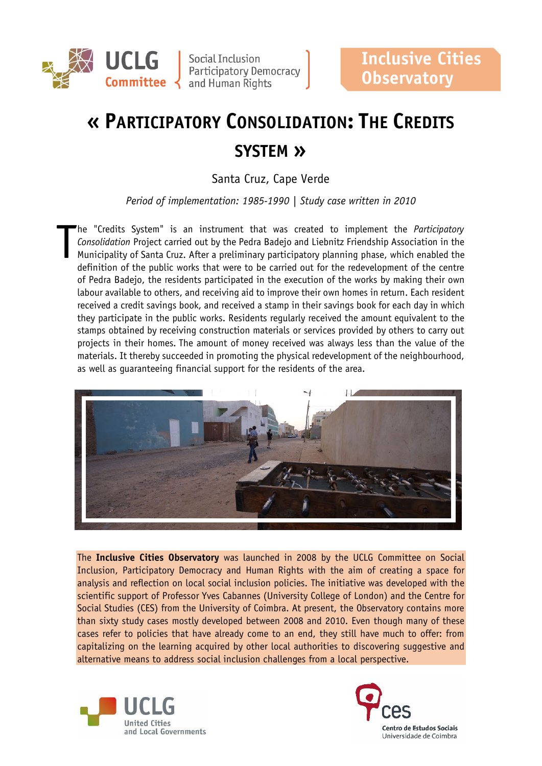

**UCLG** Social Inclusion<br>
Participatory Democracy<br> **Committee** and Human Rights

# **« PARTICIPATORY CONSOLIDATION: THE CREDITS SYSTEM »**

Santa Cruz, Cape Verde

*Period of implementation: 1985-1990 | Study case written in 2010*

he "Credits System" is an instrument that was created to implement the *Participatory Consolidation* Project carried out by the Pedra Badejo and Liebnitz Friendship Association in the Municipality of Santa Cruz. After a preliminary participatory planning phase, which enabled the definition of the public works that were to be carried out for the redevelopment of the centre of Pedra Badejo, the residents participated in the execution of the works by making their own labour available to others, and receiving aid to improve their own homes in return. Each resident received a credit savings book, and received a stamp in their savings book for each day in which they participate in the public works. Residents regularly received the amount equivalent to the stamps obtained by receiving construction materials or services provided by others to carry out projects in their homes. The amount of money received was always less than the value of the materials. It thereby succeeded in promoting the physical redevelopment of the neighbourhood, as well as guaranteeing financial support for the residents of the area. T



The **Inclusive Cities Observatory** was launched in 2008 by the UCLG Committee on Social Inclusion, Participatory Democracy and Human Rights with the aim of creating a space for analysis and reflection on local social inclusion policies. The initiative was developed with the scientific support of Professor Yves Cabannes (University College of London) and the Centre for Social Studies (CES) from the University of Coimbra. At present, the Observatory contains more than sixty study cases mostly developed between 2008 and 2010. Even though many of these cases refer to policies that have already come to an end, they still have much to offer: from capitalizing on the learning acquired by other local authorities to discovering suggestive and alternative means to address social inclusion challenges from a local perspective.



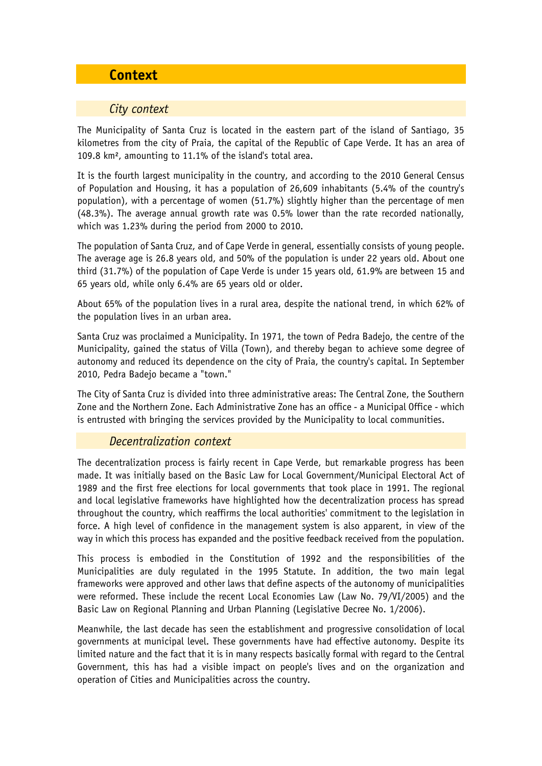# **Context**

#### *City context*

The Municipality of Santa Cruz is located in the eastern part of the island of Santiago, 35 kilometres from the city of Praia, the capital of the Republic of Cape Verde. It has an area of 109.8 km², amounting to 11.1% of the island's total area.

It is the fourth largest municipality in the country, and according to the 2010 General Census of Population and Housing, it has a population of 26,609 inhabitants (5.4% of the country's population), with a percentage of women (51.7%) slightly higher than the percentage of men (48.3%). The average annual growth rate was 0.5% lower than the rate recorded nationally, which was 1.23% during the period from 2000 to 2010.

The population of Santa Cruz, and of Cape Verde in general, essentially consists of young people. The average age is 26.8 years old, and 50% of the population is under 22 years old. About one third (31.7%) of the population of Cape Verde is under 15 years old, 61.9% are between 15 and 65 years old, while only 6.4% are 65 years old or older.

About 65% of the population lives in a rural area, despite the national trend, in which 62% of the population lives in an urban area.

Santa Cruz was proclaimed a Municipality. In 1971, the town of Pedra Badejo, the centre of the Municipality, gained the status of Villa (Town), and thereby began to achieve some degree of autonomy and reduced its dependence on the city of Praia, the country's capital. In September 2010, Pedra Badejo became a "town."

The City of Santa Cruz is divided into three administrative areas: The Central Zone, the Southern Zone and the Northern Zone. Each Administrative Zone has an office - a Municipal Office - which is entrusted with bringing the services provided by the Municipality to local communities.

## *Decentralization context*

The decentralization process is fairly recent in Cape Verde, but remarkable progress has been made. It was initially based on the Basic Law for Local Government/Municipal Electoral Act of 1989 and the first free elections for local governments that took place in 1991. The regional and local legislative frameworks have highlighted how the decentralization process has spread throughout the country, which reaffirms the local authorities' commitment to the legislation in force. A high level of confidence in the management system is also apparent, in view of the way in which this process has expanded and the positive feedback received from the population.

This process is embodied in the Constitution of 1992 and the responsibilities of the Municipalities are duly regulated in the 1995 Statute. In addition, the two main legal frameworks were approved and other laws that define aspects of the autonomy of municipalities were reformed. These include the recent Local Economies Law (Law No. 79/VI/2005) and the Basic Law on Regional Planning and Urban Planning (Legislative Decree No. 1/2006).

Meanwhile, the last decade has seen the establishment and progressive consolidation of local governments at municipal level. These governments have had effective autonomy. Despite its limited nature and the fact that it is in many respects basically formal with regard to the Central Government, this has had a visible impact on people's lives and on the organization and operation of Cities and Municipalities across the country.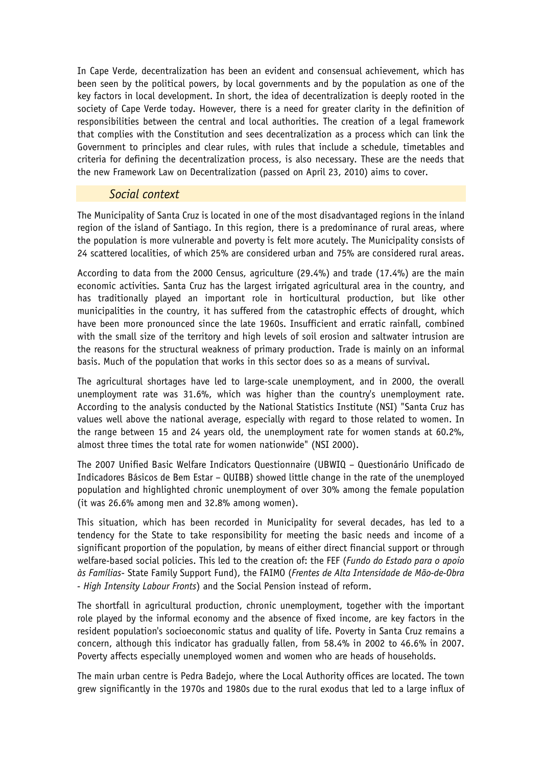In Cape Verde, decentralization has been an evident and consensual achievement, which has been seen by the political powers, by local governments and by the population as one of the key factors in local development. In short, the idea of decentralization is deeply rooted in the society of Cape Verde today. However, there is a need for greater clarity in the definition of responsibilities between the central and local authorities. The creation of a legal framework that complies with the Constitution and sees decentralization as a process which can link the Government to principles and clear rules, with rules that include a schedule, timetables and criteria for defining the decentralization process, is also necessary. These are the needs that the new Framework Law on Decentralization (passed on April 23, 2010) aims to cover.

#### *Social context*

The Municipality of Santa Cruz is located in one of the most disadvantaged regions in the inland region of the island of Santiago. In this region, there is a predominance of rural areas, where the population is more vulnerable and poverty is felt more acutely. The Municipality consists of 24 scattered localities, of which 25% are considered urban and 75% are considered rural areas.

According to data from the 2000 Census, agriculture (29.4%) and trade (17.4%) are the main economic activities. Santa Cruz has the largest irrigated agricultural area in the country, and has traditionally played an important role in horticultural production, but like other municipalities in the country, it has suffered from the catastrophic effects of drought, which have been more pronounced since the late 1960s. Insufficient and erratic rainfall, combined with the small size of the territory and high levels of soil erosion and saltwater intrusion are the reasons for the structural weakness of primary production. Trade is mainly on an informal basis. Much of the population that works in this sector does so as a means of survival.

The agricultural shortages have led to large-scale unemployment, and in 2000, the overall unemployment rate was 31.6%, which was higher than the country's unemployment rate. According to the analysis conducted by the National Statistics Institute (NSI) "Santa Cruz has values well above the national average, especially with regard to those related to women. In the range between 15 and 24 years old, the unemployment rate for women stands at 60.2%, almost three times the total rate for women nationwide" (NSI 2000).

The 2007 Unified Basic Welfare Indicators Questionnaire (UBWIQ – Questionário Unificado de Indicadores Básicos de Bem Estar – QUIBB) showed little change in the rate of the unemployed population and highlighted chronic unemployment of over 30% among the female population (it was 26.6% among men and 32.8% among women).

This situation, which has been recorded in Municipality for several decades, has led to a tendency for the State to take responsibility for meeting the basic needs and income of a significant proportion of the population, by means of either direct financial support or through welfare-based social policies. This led to the creation of: the FEF (*Fundo do Estado para o apoio às Famílias*- State Family Support Fund), the FAIMO (*Frentes de Alta Intensidade de Mão-de-Obra - High Intensity Labour Fronts*) and the Social Pension instead of reform.

The shortfall in agricultural production, chronic unemployment, together with the important role played by the informal economy and the absence of fixed income, are key factors in the resident population's socioeconomic status and quality of life. Poverty in Santa Cruz remains a concern, although this indicator has gradually fallen, from 58.4% in 2002 to 46.6% in 2007. Poverty affects especially unemployed women and women who are heads of households.

The main urban centre is Pedra Badejo, where the Local Authority offices are located. The town grew significantly in the 1970s and 1980s due to the rural exodus that led to a large influx of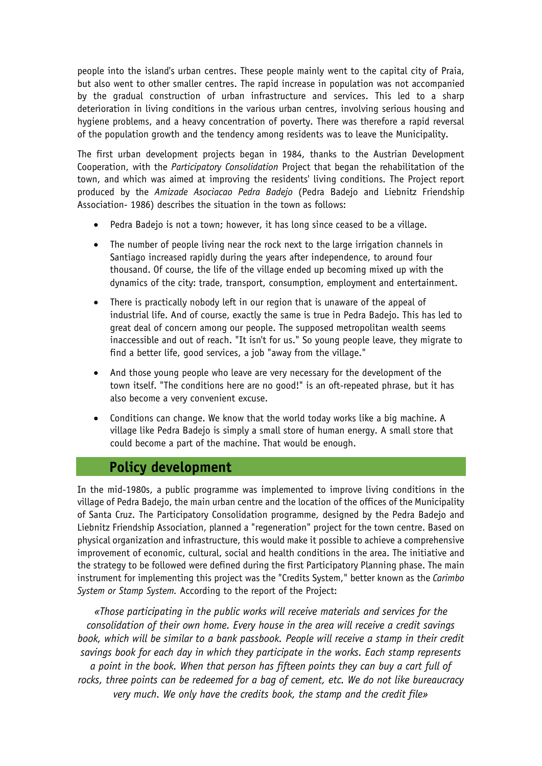people into the island's urban centres. These people mainly went to the capital city of Praia, but also went to other smaller centres. The rapid increase in population was not accompanied by the gradual construction of urban infrastructure and services. This led to a sharp deterioration in living conditions in the various urban centres, involving serious housing and hygiene problems, and a heavy concentration of poverty. There was therefore a rapid reversal of the population growth and the tendency among residents was to leave the Municipality.

The first urban development projects began in 1984, thanks to the Austrian Development Cooperation, with the *Participatory Consolidation* Project that began the rehabilitation of the town, and which was aimed at improving the residents' living conditions. The Project report produced by the *Amizade Asociacao Pedra Badejo* (Pedra Badejo and Liebnitz Friendship Association- 1986) describes the situation in the town as follows:

- Pedra Badejo is not a town; however, it has long since ceased to be a village.
- The number of people living near the rock next to the large irrigation channels in Santiago increased rapidly during the years after independence, to around four thousand. Of course, the life of the village ended up becoming mixed up with the dynamics of the city: trade, transport, consumption, employment and entertainment.
- There is practically nobody left in our region that is unaware of the appeal of industrial life. And of course, exactly the same is true in Pedra Badejo. This has led to great deal of concern among our people. The supposed metropolitan wealth seems inaccessible and out of reach. "It isn't for us." So young people leave, they migrate to find a better life, good services, a job "away from the village."
- And those young people who leave are very necessary for the development of the town itself. "The conditions here are no good!" is an oft-repeated phrase, but it has also become a very convenient excuse.
- Conditions can change. We know that the world today works like a big machine. A village like Pedra Badejo is simply a small store of human energy. A small store that could become a part of the machine. That would be enough.

# **Policy development**

In the mid-1980s, a public programme was implemented to improve living conditions in the village of Pedra Badejo, the main urban centre and the location of the offices of the Municipality of Santa Cruz. The Participatory Consolidation programme, designed by the Pedra Badejo and Liebnitz Friendship Association, planned a "regeneration" project for the town centre. Based on physical organization and infrastructure, this would make it possible to achieve a comprehensive improvement of economic, cultural, social and health conditions in the area. The initiative and the strategy to be followed were defined during the first Participatory Planning phase. The main instrument for implementing this project was the "Credits System," better known as the *Carimbo System or Stamp System.* According to the report of the Project:

*«Those participating in the public works will receive materials and services for the consolidation of their own home. Every house in the area will receive a credit savings book, which will be similar to a bank passbook. People will receive a stamp in their credit savings book for each day in which they participate in the works. Each stamp represents a point in the book. When that person has fifteen points they can buy a cart full of rocks, three points can be redeemed for a bag of cement, etc. We do not like bureaucracy very much. We only have the credits book, the stamp and the credit file»*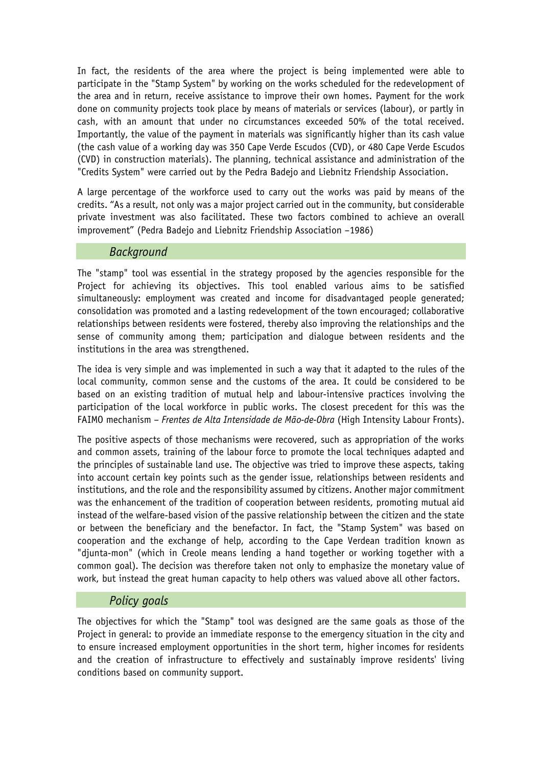In fact, the residents of the area where the project is being implemented were able to participate in the "Stamp System" by working on the works scheduled for the redevelopment of the area and in return, receive assistance to improve their own homes. Payment for the work done on community projects took place by means of materials or services (labour), or partly in cash, with an amount that under no circumstances exceeded 50% of the total received. Importantly, the value of the payment in materials was significantly higher than its cash value (the cash value of a working day was 350 Cape Verde Escudos (CVD), or 480 Cape Verde Escudos (CVD) in construction materials). The planning, technical assistance and administration of the "Credits System" were carried out by the Pedra Badejo and Liebnitz Friendship Association.

A large percentage of the workforce used to carry out the works was paid by means of the credits. "As a result, not only was a major project carried out in the community, but considerable private investment was also facilitated. These two factors combined to achieve an overall improvement" (Pedra Badejo and Liebnitz Friendship Association –1986)

#### *Background*

The "stamp" tool was essential in the strategy proposed by the agencies responsible for the Project for achieving its objectives. This tool enabled various aims to be satisfied simultaneously: employment was created and income for disadvantaged people generated; consolidation was promoted and a lasting redevelopment of the town encouraged; collaborative relationships between residents were fostered, thereby also improving the relationships and the sense of community among them; participation and dialogue between residents and the institutions in the area was strengthened.

The idea is very simple and was implemented in such a way that it adapted to the rules of the local community, common sense and the customs of the area. It could be considered to be based on an existing tradition of mutual help and labour-intensive practices involving the participation of the local workforce in public works. The closest precedent for this was the FAIMO mechanism – *Frentes de Alta Intensidade de Mão-de-Obra* (High Intensity Labour Fronts).

The positive aspects of those mechanisms were recovered, such as appropriation of the works and common assets, training of the labour force to promote the local techniques adapted and the principles of sustainable land use. The objective was tried to improve these aspects, taking into account certain key points such as the gender issue, relationships between residents and institutions, and the role and the responsibility assumed by citizens. Another major commitment was the enhancement of the tradition of cooperation between residents, promoting mutual aid instead of the welfare-based vision of the passive relationship between the citizen and the state or between the beneficiary and the benefactor. In fact, the "Stamp System" was based on cooperation and the exchange of help, according to the Cape Verdean tradition known as "djunta-mon" (which in Creole means lending a hand together or working together with a common goal). The decision was therefore taken not only to emphasize the monetary value of work, but instead the great human capacity to help others was valued above all other factors.

#### *Policy goals*

The objectives for which the "Stamp" tool was designed are the same goals as those of the Project in general: to provide an immediate response to the emergency situation in the city and to ensure increased employment opportunities in the short term, higher incomes for residents and the creation of infrastructure to effectively and sustainably improve residents' living conditions based on community support.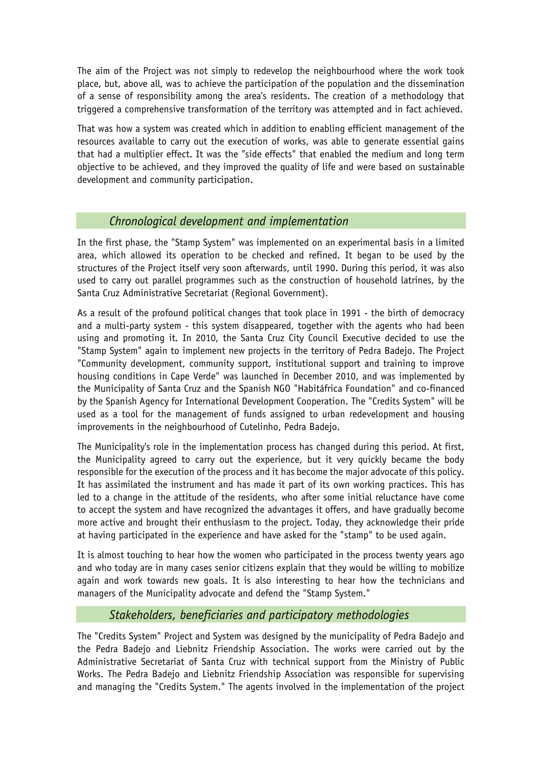The aim of the Project was not simply to redevelop the neighbourhood where the work took place, but, above all, was to achieve the participation of the population and the dissemination of a sense of responsibility among the area's residents. The creation of a methodology that triggered a comprehensive transformation of the territory was attempted and in fact achieved.

That was how a system was created which in addition to enabling efficient management of the resources available to carry out the execution of works, was able to generate essential gains that had a multiplier effect. It was the "side effects" that enabled the medium and long term objective to be achieved, and they improved the quality of life and were based on sustainable development and community participation.

# *Chronological development and implementation*

In the first phase, the "Stamp System" was implemented on an experimental basis in a limited area, which allowed its operation to be checked and refined. It began to be used by the structures of the Project itself very soon afterwards, until 1990. During this period, it was also used to carry out parallel programmes such as the construction of household latrines, by the Santa Cruz Administrative Secretariat (Regional Government).

As a result of the profound political changes that took place in 1991 - the birth of democracy and a multi-party system - this system disappeared, together with the agents who had been using and promoting it. In 2010, the Santa Cruz City Council Executive decided to use the "Stamp System" again to implement new projects in the territory of Pedra Badejo. The Project "Community development, community support, institutional support and training to improve housing conditions in Cape Verde" was launched in December 2010, and was implemented by the Municipality of Santa Cruz and the Spanish NGO "Habitáfrica Foundation" and co-financed by the Spanish Agency for International Development Cooperation. The "Credits System" will be used as a tool for the management of funds assigned to urban redevelopment and housing improvements in the neighbourhood of Cutelinho, Pedra Badejo.

The Municipality's role in the implementation process has changed during this period. At first, the Municipality agreed to carry out the experience, but it very quickly became the body responsible for the execution of the process and it has become the major advocate of this policy. It has assimilated the instrument and has made it part of its own working practices. This has led to a change in the attitude of the residents, who after some initial reluctance have come to accept the system and have recognized the advantages it offers, and have gradually become more active and brought their enthusiasm to the project. Today, they acknowledge their pride at having participated in the experience and have asked for the "stamp" to be used again.

It is almost touching to hear how the women who participated in the process twenty years ago and who today are in many cases senior citizens explain that they would be willing to mobilize again and work towards new goals. It is also interesting to hear how the technicians and managers of the Municipality advocate and defend the "Stamp System."

## *Stakeholders, beneficiaries and participatory methodologies*

The "Credits System" Project and System was designed by the municipality of Pedra Badejo and the Pedra Badejo and Liebnitz Friendship Association. The works were carried out by the Administrative Secretariat of Santa Cruz with technical support from the Ministry of Public Works. The Pedra Badejo and Liebnitz Friendship Association was responsible for supervising and managing the "Credits System." The agents involved in the implementation of the project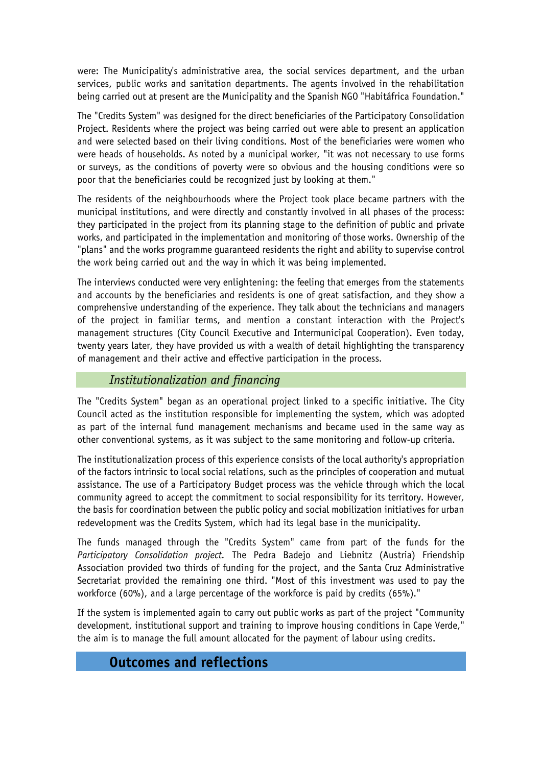were: The Municipality's administrative area, the social services department, and the urban services, public works and sanitation departments. The agents involved in the rehabilitation being carried out at present are the Municipality and the Spanish NGO "Habitáfrica Foundation."

The "Credits System" was designed for the direct beneficiaries of the Participatory Consolidation Project. Residents where the project was being carried out were able to present an application and were selected based on their living conditions. Most of the beneficiaries were women who were heads of households. As noted by a municipal worker, "it was not necessary to use forms or surveys, as the conditions of poverty were so obvious and the housing conditions were so poor that the beneficiaries could be recognized just by looking at them."

The residents of the neighbourhoods where the Project took place became partners with the municipal institutions, and were directly and constantly involved in all phases of the process: they participated in the project from its planning stage to the definition of public and private works, and participated in the implementation and monitoring of those works. Ownership of the "plans" and the works programme guaranteed residents the right and ability to supervise control the work being carried out and the way in which it was being implemented.

The interviews conducted were very enlightening: the feeling that emerges from the statements and accounts by the beneficiaries and residents is one of great satisfaction, and they show a comprehensive understanding of the experience. They talk about the technicians and managers of the project in familiar terms, and mention a constant interaction with the Project's management structures (City Council Executive and Intermunicipal Cooperation). Even today, twenty years later, they have provided us with a wealth of detail highlighting the transparency of management and their active and effective participation in the process.

## *Institutionalization and financing*

The "Credits System" began as an operational project linked to a specific initiative. The City Council acted as the institution responsible for implementing the system, which was adopted as part of the internal fund management mechanisms and became used in the same way as other conventional systems, as it was subject to the same monitoring and follow-up criteria.

The institutionalization process of this experience consists of the local authority's appropriation of the factors intrinsic to local social relations, such as the principles of cooperation and mutual assistance. The use of a Participatory Budget process was the vehicle through which the local community agreed to accept the commitment to social responsibility for its territory. However, the basis for coordination between the public policy and social mobilization initiatives for urban redevelopment was the Credits System, which had its legal base in the municipality.

The funds managed through the "Credits System" came from part of the funds for the *Participatory Consolidation project.* The Pedra Badejo and Liebnitz (Austria) Friendship Association provided two thirds of funding for the project, and the Santa Cruz Administrative Secretariat provided the remaining one third. "Most of this investment was used to pay the workforce (60%), and a large percentage of the workforce is paid by credits (65%)."

If the system is implemented again to carry out public works as part of the project "Community development, institutional support and training to improve housing conditions in Cape Verde," the aim is to manage the full amount allocated for the payment of labour using credits.

# **Outcomes and reflections**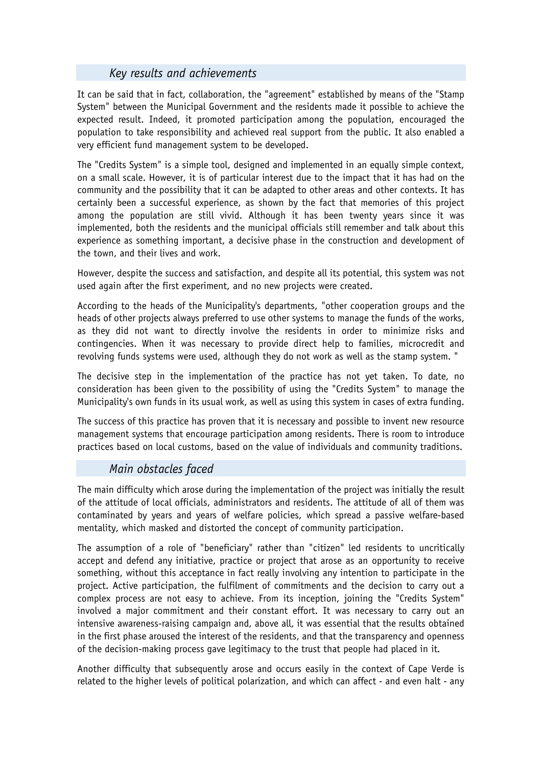# *Key results and achievements*

It can be said that in fact, collaboration, the "agreement" established by means of the "Stamp System" between the Municipal Government and the residents made it possible to achieve the expected result. Indeed, it promoted participation among the population, encouraged the population to take responsibility and achieved real support from the public. It also enabled a very efficient fund management system to be developed.

The "Credits System" is a simple tool, designed and implemented in an equally simple context, on a small scale. However, it is of particular interest due to the impact that it has had on the community and the possibility that it can be adapted to other areas and other contexts. It has certainly been a successful experience, as shown by the fact that memories of this project among the population are still vivid. Although it has been twenty years since it was implemented, both the residents and the municipal officials still remember and talk about this experience as something important, a decisive phase in the construction and development of the town, and their lives and work.

However, despite the success and satisfaction, and despite all its potential, this system was not used again after the first experiment, and no new projects were created.

According to the heads of the Municipality's departments, "other cooperation groups and the heads of other projects always preferred to use other systems to manage the funds of the works, as they did not want to directly involve the residents in order to minimize risks and contingencies. When it was necessary to provide direct help to families, microcredit and revolving funds systems were used, although they do not work as well as the stamp system. "

The decisive step in the implementation of the practice has not yet taken. To date, no consideration has been given to the possibility of using the "Credits System" to manage the Municipality's own funds in its usual work, as well as using this system in cases of extra funding.

The success of this practice has proven that it is necessary and possible to invent new resource management systems that encourage participation among residents. There is room to introduce practices based on local customs, based on the value of individuals and community traditions.

## *Main obstacles faced*

The main difficulty which arose during the implementation of the project was initially the result of the attitude of local officials, administrators and residents. The attitude of all of them was contaminated by years and years of welfare policies, which spread a passive welfare-based mentality, which masked and distorted the concept of community participation.

The assumption of a role of "beneficiary" rather than "citizen" led residents to uncritically accept and defend any initiative, practice or project that arose as an opportunity to receive something, without this acceptance in fact really involving any intention to participate in the project. Active participation, the fulfilment of commitments and the decision to carry out a complex process are not easy to achieve. From its inception, joining the "Credits System" involved a major commitment and their constant effort. It was necessary to carry out an intensive awareness-raising campaign and, above all, it was essential that the results obtained in the first phase aroused the interest of the residents, and that the transparency and openness of the decision-making process gave legitimacy to the trust that people had placed in it.

Another difficulty that subsequently arose and occurs easily in the context of Cape Verde is related to the higher levels of political polarization, and which can affect - and even halt - any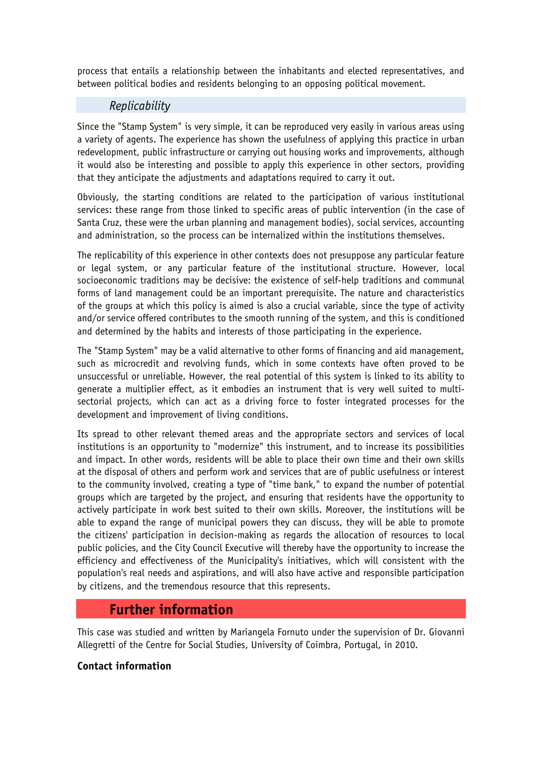process that entails a relationship between the inhabitants and elected representatives, and between political bodies and residents belonging to an opposing political movement.

#### *Replicability*

Since the "Stamp System" is very simple, it can be reproduced very easily in various areas using a variety of agents. The experience has shown the usefulness of applying this practice in urban redevelopment, public infrastructure or carrying out housing works and improvements, although it would also be interesting and possible to apply this experience in other sectors, providing that they anticipate the adjustments and adaptations required to carry it out.

Obviously, the starting conditions are related to the participation of various institutional services: these range from those linked to specific areas of public intervention (in the case of Santa Cruz, these were the urban planning and management bodies), social services, accounting and administration, so the process can be internalized within the institutions themselves.

The replicability of this experience in other contexts does not presuppose any particular feature or legal system, or any particular feature of the institutional structure. However, local socioeconomic traditions may be decisive: the existence of self-help traditions and communal forms of land management could be an important prerequisite. The nature and characteristics of the groups at which this policy is aimed is also a crucial variable, since the type of activity and/or service offered contributes to the smooth running of the system, and this is conditioned and determined by the habits and interests of those participating in the experience.

The "Stamp System" may be a valid alternative to other forms of financing and aid management, such as microcredit and revolving funds, which in some contexts have often proved to be unsuccessful or unreliable. However, the real potential of this system is linked to its ability to generate a multiplier effect, as it embodies an instrument that is very well suited to multisectorial projects, which can act as a driving force to foster integrated processes for the development and improvement of living conditions.

Its spread to other relevant themed areas and the appropriate sectors and services of local institutions is an opportunity to "modernize" this instrument, and to increase its possibilities and impact. In other words, residents will be able to place their own time and their own skills at the disposal of others and perform work and services that are of public usefulness or interest to the community involved, creating a type of "time bank," to expand the number of potential groups which are targeted by the project, and ensuring that residents have the opportunity to actively participate in work best suited to their own skills. Moreover, the institutions will be able to expand the range of municipal powers they can discuss, they will be able to promote the citizens' participation in decision-making as regards the allocation of resources to local public policies, and the City Council Executive will thereby have the opportunity to increase the efficiency and effectiveness of the Municipality's initiatives, which will consistent with the population's real needs and aspirations, and will also have active and responsible participation by citizens, and the tremendous resource that this represents.

# **Further information**

This case was studied and written by Mariangela Fornuto under the supervision of Dr. Giovanni Allegretti of the Centre for Social Studies, University of Coimbra, Portugal, in 2010.

#### **Contact information**